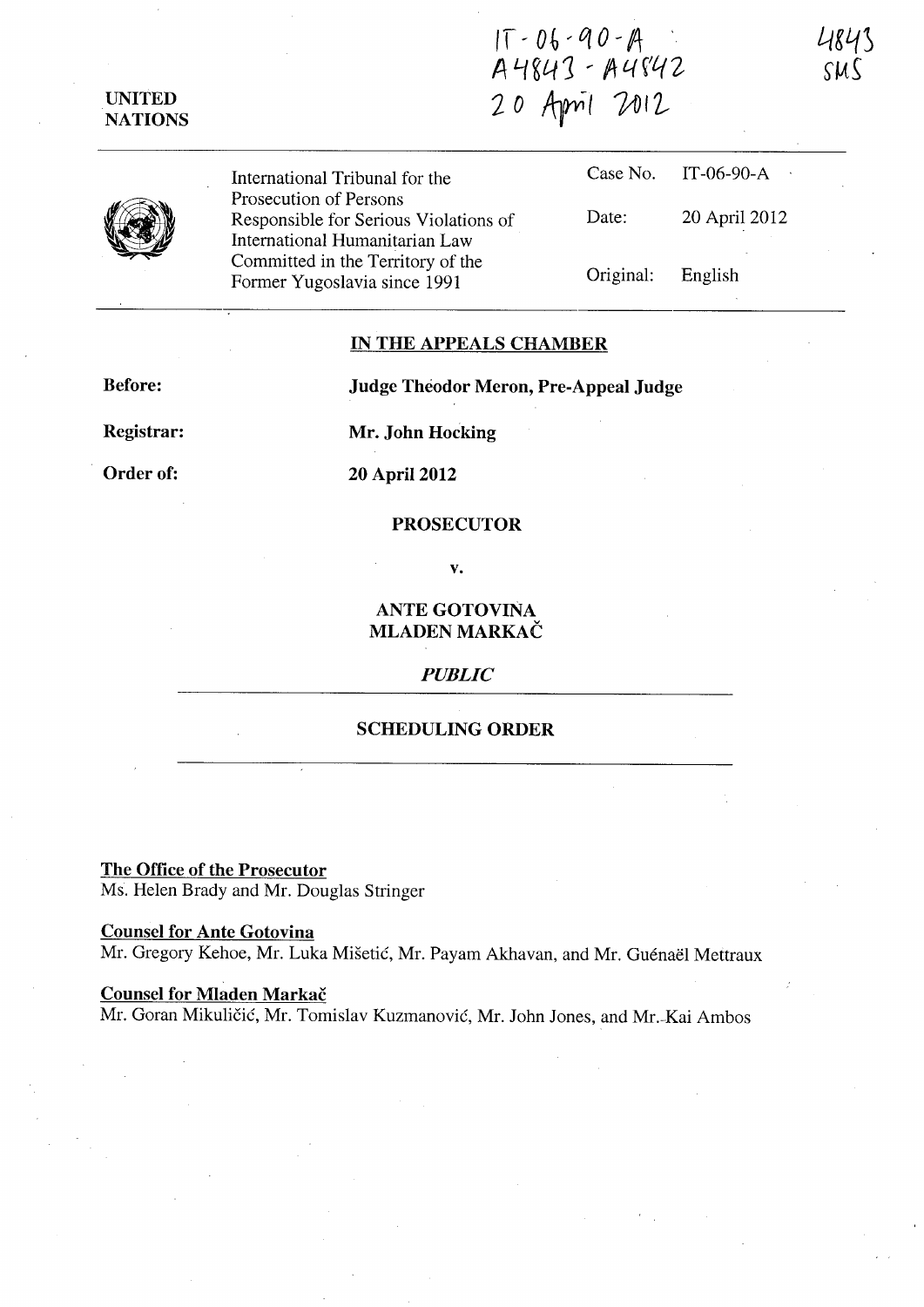$IT - 06 - 90 - A$ A 4843 - A 4842 20 April 2012

Original: English

International Tribunal for the Prosecution of Persons Responsible for Serious Violations of International Humanitarian Law Committed in the Territory of the Case No. IT-06-90-A Date: 20 April 2012

Former Yugoslavia since 1991

IN THE APPEALS CHAMBER

Before:

UNITED NATIONS

Judge Theodor Meron, Pre-Appeal Judge

Registrar:

Mr. John Hocking

Order of:

20 April 2012

## PROSECUTOR

v.

ANTE GOTOVINA MLADEN MARKAČ

## *PUBLIC*

## SCHEDULING ORDER

The Office of the Prosecutor Ms. Helen Brady and Mr. Douglas Stringer

Counsel for Ante Gotovina Mr. Gregory Kehoe, Mr. Luka Mišetić, Mr. Payam Akhavan, and Mr. Guénaël Mettraux

Counsel for Mladen Markac Mr. Goran Mikuličić, Mr. Tomislav Kuzmanović, Mr. John Jones, and Mr.-Kai Ambos